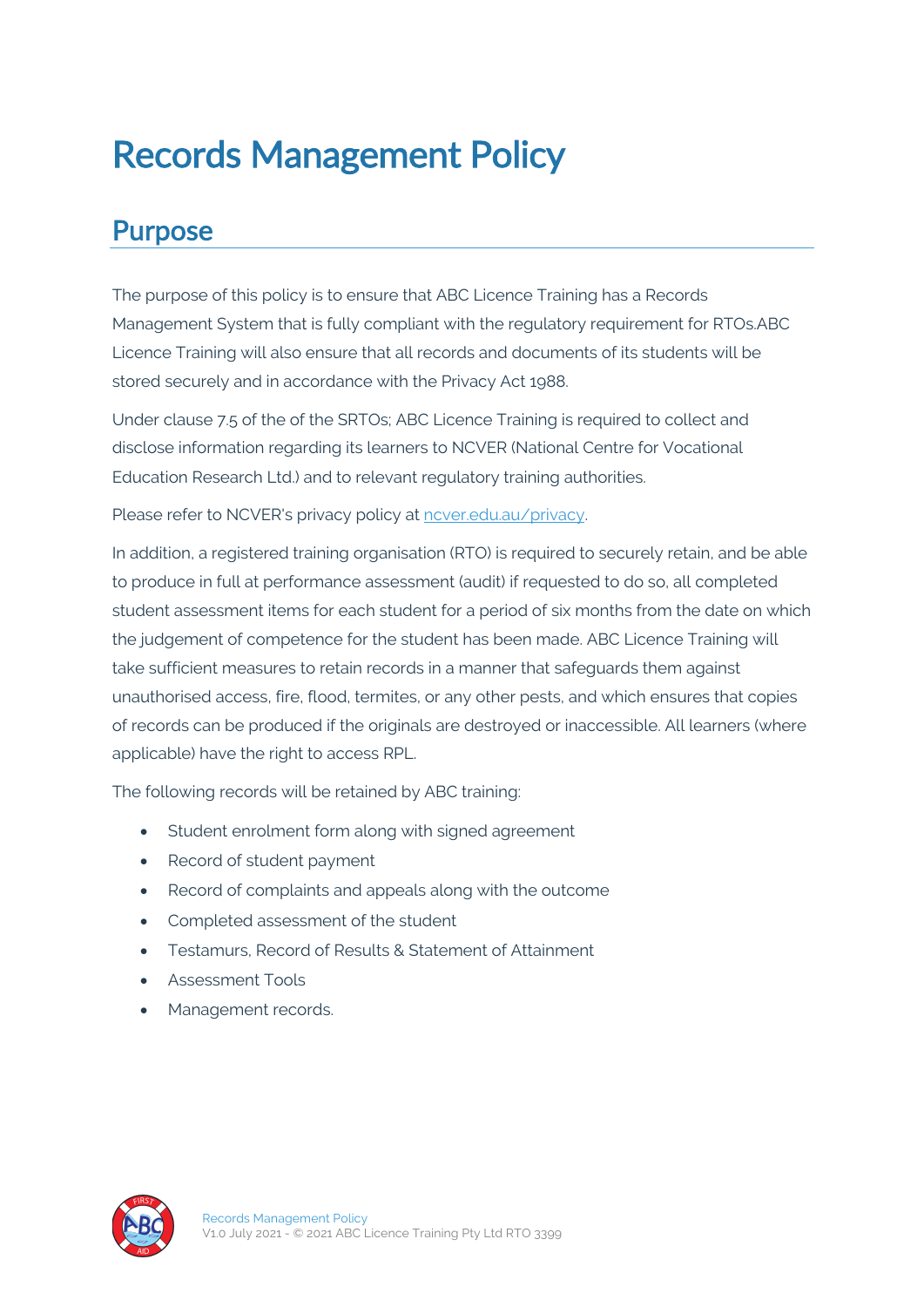# Records Management Policy

#### Purpose

The purpose of this policy is to ensure that ABC Licence Training has a Records Management System that is fully compliant with the regulatory requirement for RTOs.ABC Licence Training will also ensure that all records and documents of its students will be stored securely and in accordance with the Privacy Act 1988.

Under clause 7.5 of the of the SRTOs; ABC Licence Training is required to collect and disclose information regarding its learners to NCVER (National Centre for Vocational Education Research Ltd.) and to relevant regulatory training authorities.

Please refer to NCVER's privacy policy at nover.edu.au/privacy.

In addition, a registered training organisation (RTO) is required to securely retain, and be able to produce in full at performance assessment (audit) if requested to do so, all completed student assessment items for each student for a period of six months from the date on which the judgement of competence for the student has been made. ABC Licence Training will take sufficient measures to retain records in a manner that safeguards them against unauthorised access, fire, flood, termites, or any other pests, and which ensures that copies of records can be produced if the originals are destroyed or inaccessible. All learners (where applicable) have the right to access RPL.

The following records will be retained by ABC training:

- Student enrolment form along with signed agreement
- Record of student payment
- Record of complaints and appeals along with the outcome
- Completed assessment of the student
- Testamurs, Record of Results & Statement of Attainment
- Assessment Tools
- Management records.

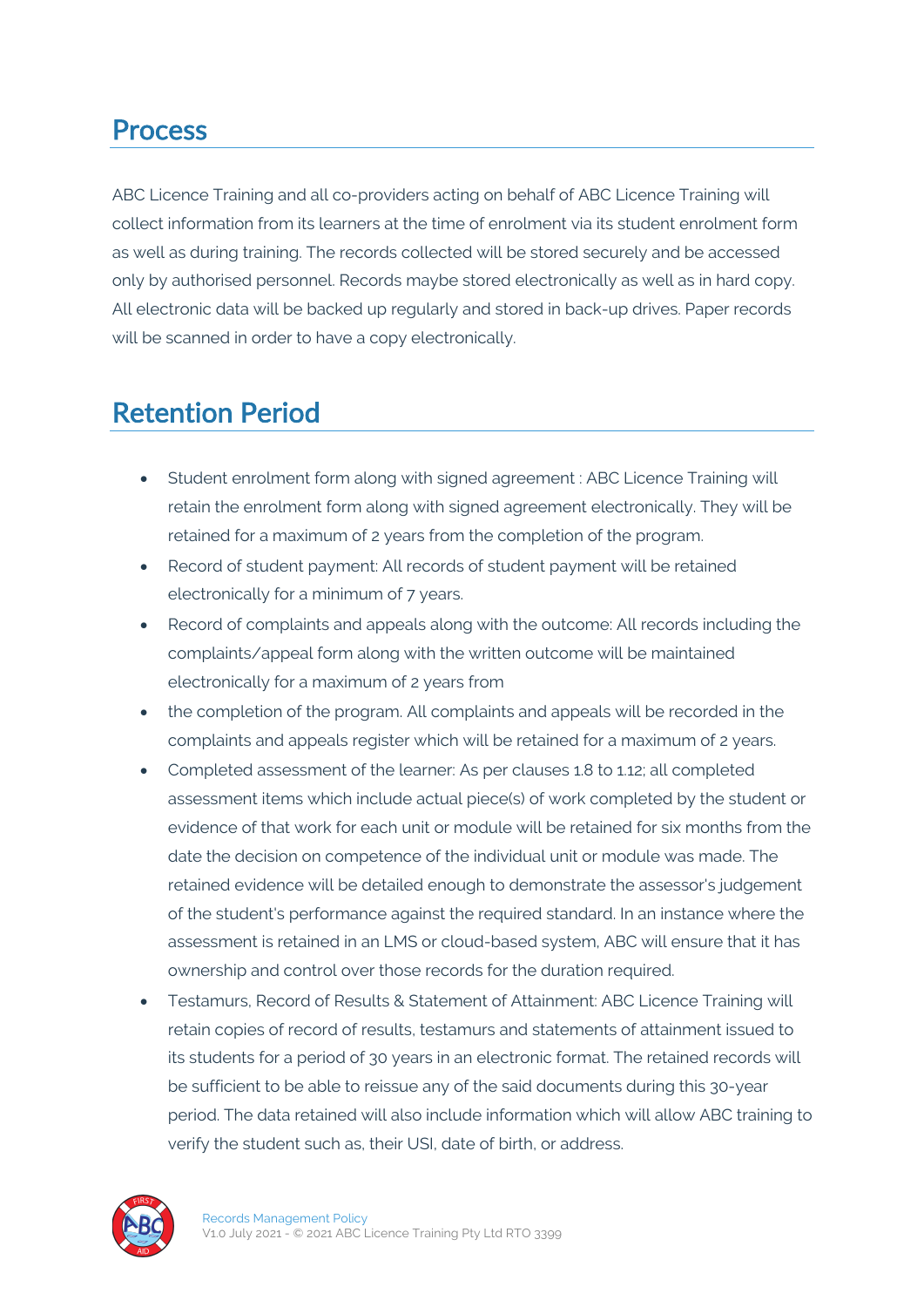# **Process**

ABC Licence Training and all co-providers acting on behalf of ABC Licence Training will collect information from its learners at the time of enrolment via its student enrolment form as well as during training. The records collected will be stored securely and be accessed only by authorised personnel. Records maybe stored electronically as well as in hard copy. All electronic data will be backed up regularly and stored in back-up drives. Paper records will be scanned in order to have a copy electronically.

# Retention Period

- Student enrolment form along with signed agreement : ABC Licence Training will retain the enrolment form along with signed agreement electronically. They will be retained for a maximum of 2 years from the completion of the program.
- Record of student payment: All records of student payment will be retained electronically for a minimum of 7 years.
- Record of complaints and appeals along with the outcome: All records including the complaints/appeal form along with the written outcome will be maintained electronically for a maximum of 2 years from
- the completion of the program. All complaints and appeals will be recorded in the complaints and appeals register which will be retained for a maximum of 2 years.
- Completed assessment of the learner: As per clauses 1.8 to 1.12; all completed assessment items which include actual piece(s) of work completed by the student or evidence of that work for each unit or module will be retained for six months from the date the decision on competence of the individual unit or module was made. The retained evidence will be detailed enough to demonstrate the assessor's judgement of the student's performance against the required standard. In an instance where the assessment is retained in an LMS or cloud-based system, ABC will ensure that it has ownership and control over those records for the duration required.
- Testamurs, Record of Results & Statement of Attainment: ABC Licence Training will retain copies of record of results, testamurs and statements of attainment issued to its students for a period of 30 years in an electronic format. The retained records will be sufficient to be able to reissue any of the said documents during this 30-year period. The data retained will also include information which will allow ABC training to verify the student such as, their USI, date of birth, or address.

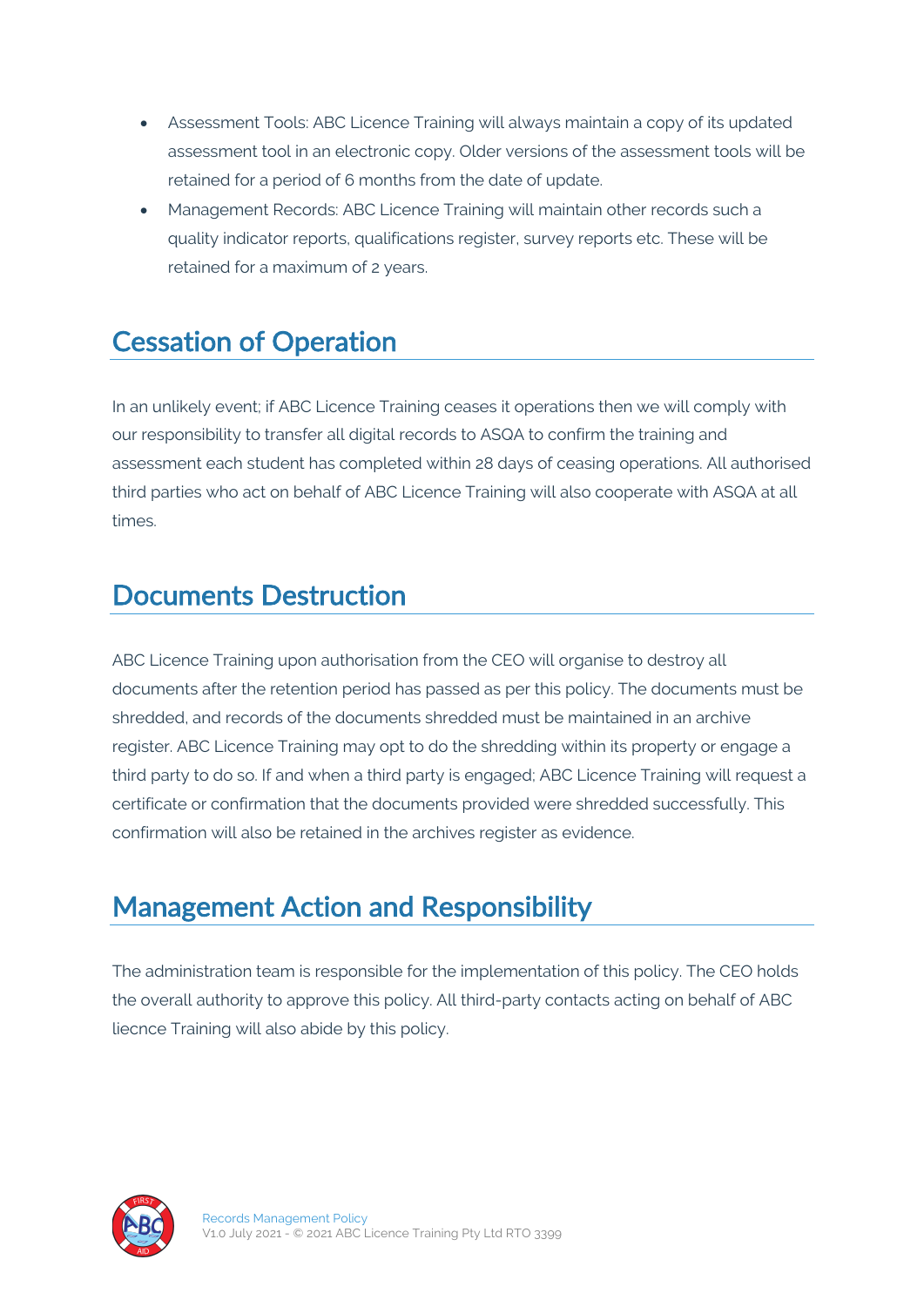- Assessment Tools: ABC Licence Training will always maintain a copy of its updated assessment tool in an electronic copy. Older versions of the assessment tools will be retained for a period of 6 months from the date of update.
- Management Records: ABC Licence Training will maintain other records such a quality indicator reports, qualifications register, survey reports etc. These will be retained for a maximum of 2 years.

# Cessation of Operation

In an unlikely event; if ABC Licence Training ceases it operations then we will comply with our responsibility to transfer all digital records to ASQA to confirm the training and assessment each student has completed within 28 days of ceasing operations. All authorised third parties who act on behalf of ABC Licence Training will also cooperate with ASQA at all times.

# Documents Destruction

ABC Licence Training upon authorisation from the CEO will organise to destroy all documents after the retention period has passed as per this policy. The documents must be shredded, and records of the documents shredded must be maintained in an archive register. ABC Licence Training may opt to do the shredding within its property or engage a third party to do so. If and when a third party is engaged; ABC Licence Training will request a certificate or confirmation that the documents provided were shredded successfully. This confirmation will also be retained in the archives register as evidence.

#### Management Action and Responsibility

The administration team is responsible for the implementation of this policy. The CEO holds the overall authority to approve this policy. All third-party contacts acting on behalf of ABC liecnce Training will also abide by this policy.